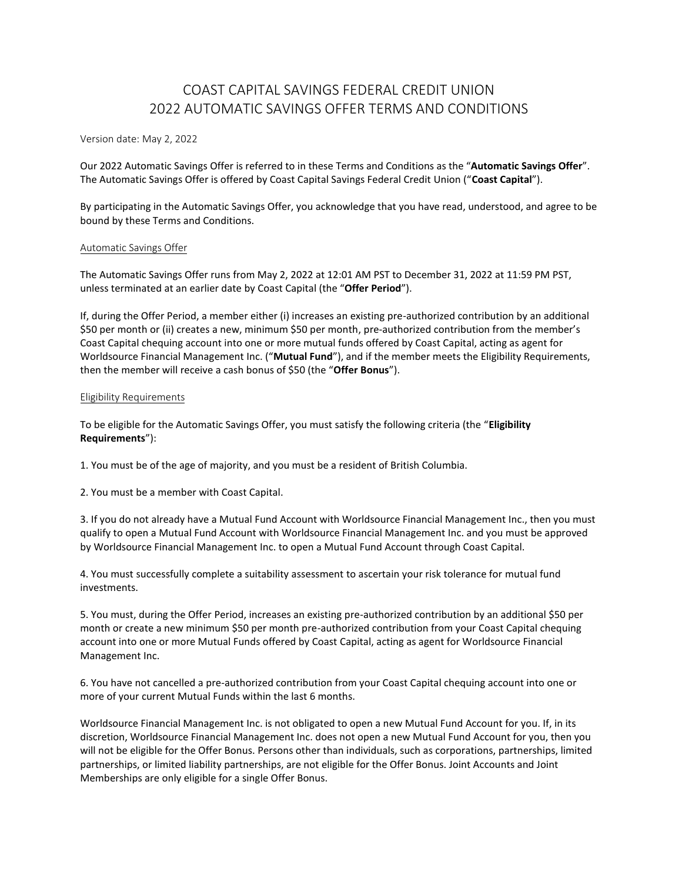# COAST CAPITAL SAVINGS FEDERAL CREDIT UNION 2022 AUTOMATIC SAVINGS OFFER TERMS AND CONDITIONS

Version date: May 2, 2022

Our 2022 Automatic Savings Offer is referred to in these Terms and Conditions as the "**Automatic Savings Offer**". The Automatic Savings Offer is offered by Coast Capital Savings Federal Credit Union ("**Coast Capital**").

By participating in the Automatic Savings Offer, you acknowledge that you have read, understood, and agree to be bound by these Terms and Conditions.

#### Automatic Savings Offer

The Automatic Savings Offer runs from May 2, 2022 at 12:01 AM PST to December 31, 2022 at 11:59 PM PST, unless terminated at an earlier date by Coast Capital (the "**Offer Period**").

If, during the Offer Period, a member either (i) increases an existing pre-authorized contribution by an additional \$50 per month or (ii) creates a new, minimum \$50 per month, pre-authorized contribution from the member's Coast Capital chequing account into one or more mutual funds offered by Coast Capital, acting as agent for Worldsource Financial Management Inc. ("**Mutual Fund**"), and if the member meets the Eligibility Requirements, then the member will receive a cash bonus of \$50 (the "**Offer Bonus**").

#### Eligibility Requirements

To be eligible for the Automatic Savings Offer, you must satisfy the following criteria (the "**Eligibility Requirements**"):

1. You must be of the age of majority, and you must be a resident of British Columbia.

2. You must be a member with Coast Capital.

3. If you do not already have a Mutual Fund Account with Worldsource Financial Management Inc., then you must qualify to open a Mutual Fund Account with Worldsource Financial Management Inc. and you must be approved by Worldsource Financial Management Inc. to open a Mutual Fund Account through Coast Capital.

4. You must successfully complete a suitability assessment to ascertain your risk tolerance for mutual fund investments.

5. You must, during the Offer Period, increases an existing pre-authorized contribution by an additional \$50 per month or create a new minimum \$50 per month pre-authorized contribution from your Coast Capital chequing account into one or more Mutual Funds offered by Coast Capital, acting as agent for Worldsource Financial Management Inc.

6. You have not cancelled a pre-authorized contribution from your Coast Capital chequing account into one or more of your current Mutual Funds within the last 6 months.

Worldsource Financial Management Inc. is not obligated to open a new Mutual Fund Account for you. If, in its discretion, Worldsource Financial Management Inc. does not open a new Mutual Fund Account for you, then you will not be eligible for the Offer Bonus. Persons other than individuals, such as corporations, partnerships, limited partnerships, or limited liability partnerships, are not eligible for the Offer Bonus. Joint Accounts and Joint Memberships are only eligible for a single Offer Bonus.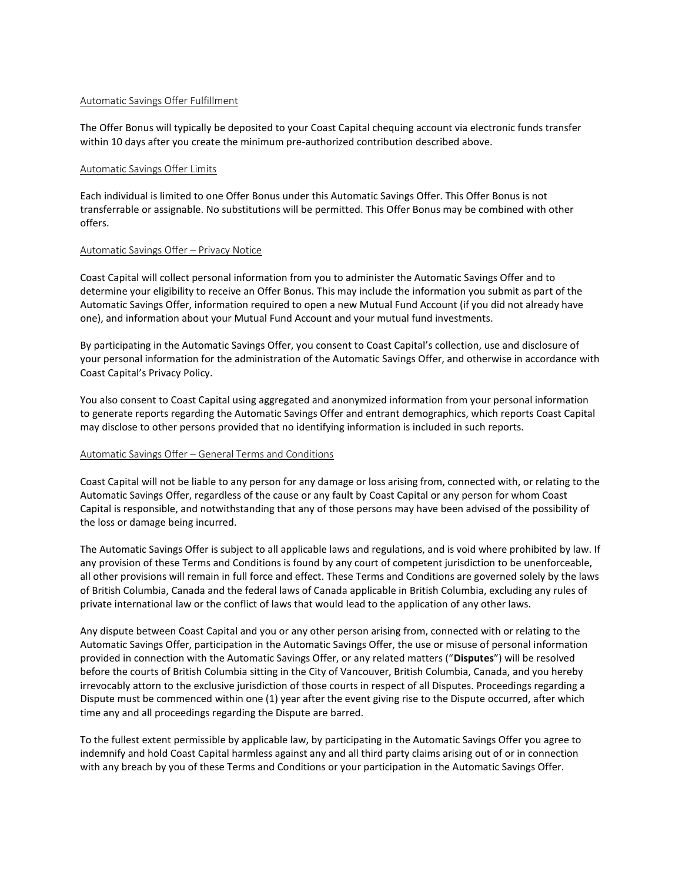### Automatic Savings Offer Fulfillment

The Offer Bonus will typically be deposited to your Coast Capital chequing account via electronic funds transfer within 10 days after you create the minimum pre-authorized contribution described above.

### Automatic Savings Offer Limits

Each individual is limited to one Offer Bonus under this Automatic Savings Offer. This Offer Bonus is not transferrable or assignable. No substitutions will be permitted. This Offer Bonus may be combined with other offers.

## Automatic Savings Offer – Privacy Notice

Coast Capital will collect personal information from you to administer the Automatic Savings Offer and to determine your eligibility to receive an Offer Bonus. This may include the information you submit as part of the Automatic Savings Offer, information required to open a new Mutual Fund Account (if you did not already have one), and information about your Mutual Fund Account and your mutual fund investments.

By participating in the Automatic Savings Offer, you consent to Coast Capital's collection, use and disclosure of your personal information for the administration of the Automatic Savings Offer, and otherwise in accordance with Coast Capital's Privacy Policy.

You also consent to Coast Capital using aggregated and anonymized information from your personal information to generate reports regarding the Automatic Savings Offer and entrant demographics, which reports Coast Capital may disclose to other persons provided that no identifying information is included in such reports.

## Automatic Savings Offer – General Terms and Conditions

Coast Capital will not be liable to any person for any damage or loss arising from, connected with, or relating to the Automatic Savings Offer, regardless of the cause or any fault by Coast Capital or any person for whom Coast Capital is responsible, and notwithstanding that any of those persons may have been advised of the possibility of the loss or damage being incurred.

The Automatic Savings Offer is subject to all applicable laws and regulations, and is void where prohibited by law. If any provision of these Terms and Conditions is found by any court of competent jurisdiction to be unenforceable, all other provisions will remain in full force and effect. These Terms and Conditions are governed solely by the laws of British Columbia, Canada and the federal laws of Canada applicable in British Columbia, excluding any rules of private international law or the conflict of laws that would lead to the application of any other laws.

Any dispute between Coast Capital and you or any other person arising from, connected with or relating to the Automatic Savings Offer, participation in the Automatic Savings Offer, the use or misuse of personal information provided in connection with the Automatic Savings Offer, or any related matters ("**Disputes**") will be resolved before the courts of British Columbia sitting in the City of Vancouver, British Columbia, Canada, and you hereby irrevocably attorn to the exclusive jurisdiction of those courts in respect of all Disputes. Proceedings regarding a Dispute must be commenced within one (1) year after the event giving rise to the Dispute occurred, after which time any and all proceedings regarding the Dispute are barred.

To the fullest extent permissible by applicable law, by participating in the Automatic Savings Offer you agree to indemnify and hold Coast Capital harmless against any and all third party claims arising out of or in connection with any breach by you of these Terms and Conditions or your participation in the Automatic Savings Offer.